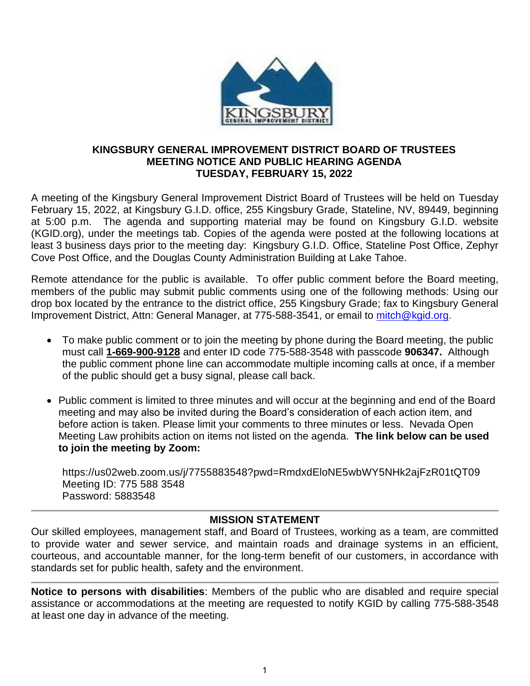

#### **KINGSBURY GENERAL IMPROVEMENT DISTRICT BOARD OF TRUSTEES MEETING NOTICE AND PUBLIC HEARING AGENDA TUESDAY, FEBRUARY 15, 2022**

A meeting of the Kingsbury General Improvement District Board of Trustees will be held on Tuesday February 15, 2022, at Kingsbury G.I.D. office, 255 Kingsbury Grade, Stateline, NV, 89449, beginning at 5:00 p.m. The agenda and supporting material may be found on Kingsbury G.I.D. website (KGID.org), under the meetings tab. Copies of the agenda were posted at the following locations at least 3 business days prior to the meeting day: Kingsbury G.I.D. Office, Stateline Post Office, Zephyr Cove Post Office, and the Douglas County Administration Building at Lake Tahoe.

Remote attendance for the public is available. To offer public comment before the Board meeting, members of the public may submit public comments using one of the following methods: Using our drop box located by the entrance to the district office, 255 Kingsbury Grade; fax to Kingsbury General Improvement District, Attn: General Manager, at 775-588-3541, or email to [mitch@kgid.org.](mailto:mitch@kgid.org)

- To make public comment or to join the meeting by phone during the Board meeting, the public must call **1-669-900-9128** and enter ID code 775-588-3548 with passcode **906347.** Although the public comment phone line can accommodate multiple incoming calls at once, if a member of the public should get a busy signal, please call back.
- Public comment is limited to three minutes and will occur at the beginning and end of the Board meeting and may also be invited during the Board's consideration of each action item, and before action is taken. Please limit your comments to three minutes or less. Nevada Open Meeting Law prohibits action on items not listed on the agenda. **The link below can be used to join the meeting by Zoom:**

https://us02web.zoom.us/j/7755883548?pwd=RmdxdEloNE5wbWY5NHk2ajFzR01tQT09 Meeting ID: 775 588 3548 Password: 5883548

## **MISSION STATEMENT**

Our skilled employees, management staff, and Board of Trustees, working as a team, are committed to provide water and sewer service, and maintain roads and drainage systems in an efficient, courteous, and accountable manner, for the long-term benefit of our customers, in accordance with standards set for public health, safety and the environment.

**Notice to persons with disabilities**: Members of the public who are disabled and require special assistance or accommodations at the meeting are requested to notify KGID by calling 775-588-3548 at least one day in advance of the meeting.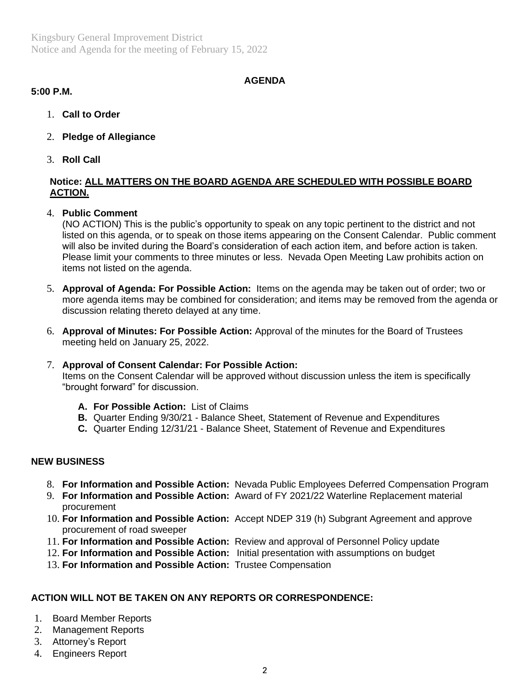Kingsbury General Improvement District Notice and Agenda for the meeting of February 15, 2022

# **AGENDA**

# **5:00 P.M.**

- 1. **Call to Order**
- 2. **Pledge of Allegiance**
- 3. **Roll Call**

## **Notice: ALL MATTERS ON THE BOARD AGENDA ARE SCHEDULED WITH POSSIBLE BOARD ACTION.**

## 4. **Public Comment**

(NO ACTION) This is the public's opportunity to speak on any topic pertinent to the district and not listed on this agenda, or to speak on those items appearing on the Consent Calendar. Public comment will also be invited during the Board's consideration of each action item, and before action is taken. Please limit your comments to three minutes or less. Nevada Open Meeting Law prohibits action on items not listed on the agenda.

- 5. **Approval of Agenda: For Possible Action:** Items on the agenda may be taken out of order; two or more agenda items may be combined for consideration; and items may be removed from the agenda or discussion relating thereto delayed at any time.
- 6. **Approval of Minutes: For Possible Action:** Approval of the minutes for the Board of Trustees meeting held on January 25, 2022.

## 7. **Approval of Consent Calendar: For Possible Action:**

Items on the Consent Calendar will be approved without discussion unless the item is specifically "brought forward" for discussion.

- **A. For Possible Action:** List of Claims
- **B.** Quarter Ending 9/30/21 Balance Sheet, Statement of Revenue and Expenditures
- **C.** Quarter Ending 12/31/21 Balance Sheet, Statement of Revenue and Expenditures

## **NEW BUSINESS**

- 8. **For Information and Possible Action:** Nevada Public Employees Deferred Compensation Program
- 9. **For Information and Possible Action:** Award of FY 2021/22 Waterline Replacement material procurement
- 10. **For Information and Possible Action:** Accept NDEP 319 (h) Subgrant Agreement and approve procurement of road sweeper
- 11. **For Information and Possible Action:** Review and approval of Personnel Policy update
- 12. **For Information and Possible Action:** Initial presentation with assumptions on budget
- 13. **For Information and Possible Action:** Trustee Compensation

# **ACTION WILL NOT BE TAKEN ON ANY REPORTS OR CORRESPONDENCE:**

- 1. Board Member Reports
- 2. Management Reports
- 3. Attorney's Report
- 4. Engineers Report